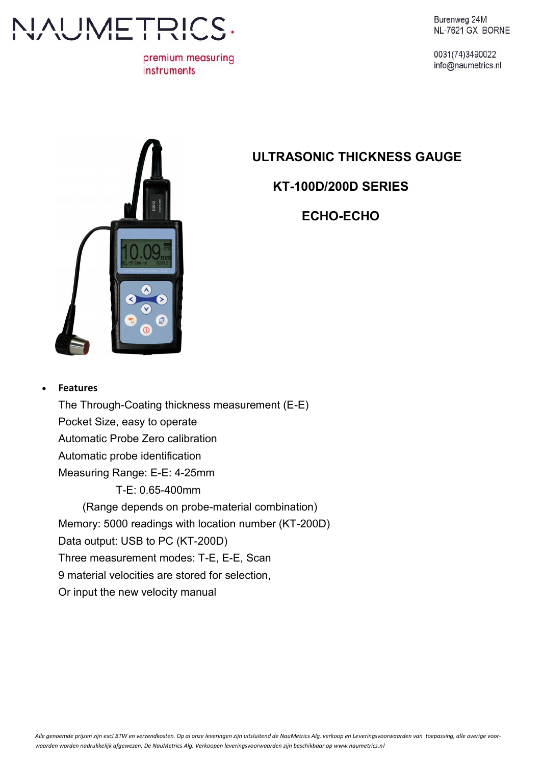

premium measuring instruments

Burenweg 24M

0031(74)3490022 info@naumetrics.nl

# **ULTRASONIC THICKNESS GAUGE**

**KT-100D/200D SERIES**

**ECHO-ECHO**



#### **Features**

The Through-Coating thickness measurement (E-E) Pocket Size, easy to operate Automatic Probe Zero calibration Automatic probe identification Measuring Range: E-E: 4-25mm T-E: 0.65-400mm (Range depends on probe-material combination) Memory: 5000 readings with location number (KT-200D) Data output: USB to PC (KT-200D) Three measurement modes: T-E, E-E, Scan 9 material velocities are stored for selection, Or input the new velocity manual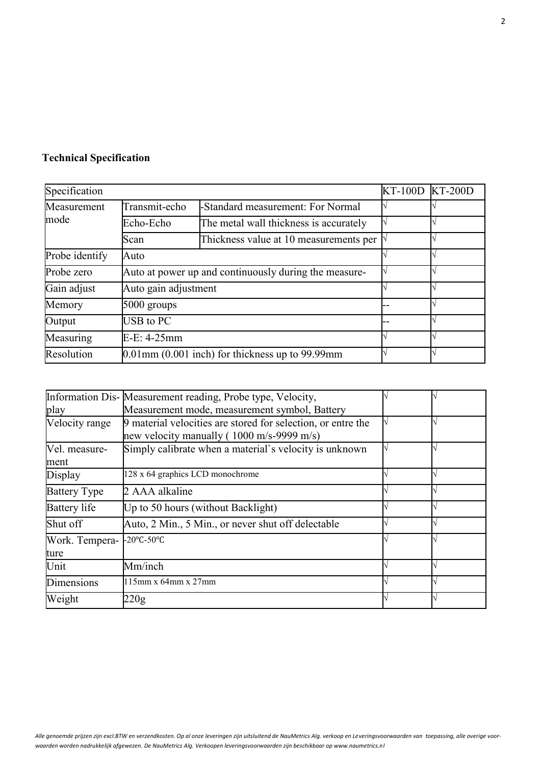## **Technical Specification**

| Specification       |                                                       |                                        | KT-100D KT-200D |  |
|---------------------|-------------------------------------------------------|----------------------------------------|-----------------|--|
| Measurement<br>mode | Transmit-echo                                         | -Standard measurement: For Normal      |                 |  |
|                     | Echo-Echo                                             | The metal wall thickness is accurately |                 |  |
|                     | Scan                                                  | Thickness value at 10 measurements per |                 |  |
| Probe identify      | Auto                                                  |                                        |                 |  |
| Probe zero          | Auto at power up and continuously during the measure- |                                        |                 |  |
| Gain adjust         |                                                       | Auto gain adjustment                   |                 |  |
| Memory              | 5000 groups                                           |                                        |                 |  |
| Output              | USB to PC                                             |                                        |                 |  |
| Measuring           | $E-E: 4-25mm$                                         |                                        |                 |  |
| Resolution          | $0.01$ mm $(0.001$ inch) for thickness up to 99.99 mm |                                        |                 |  |

|                        | Information Dis- Measurement reading, Probe type, Velocity,                                                           |  |
|------------------------|-----------------------------------------------------------------------------------------------------------------------|--|
| play                   | Measurement mode, measurement symbol, Battery                                                                         |  |
| Velocity range         | 9 material velocities are stored for selection, or entre the<br>new velocity manually ( $1000 \text{ m/s}$ -9999 m/s) |  |
| Vel. measure-<br>ment  | Simply calibrate when a material's velocity is unknown                                                                |  |
| Display                | 128 x 64 graphics LCD monochrome                                                                                      |  |
| <b>Battery Type</b>    | 2 AAA alkaline                                                                                                        |  |
| <b>Battery</b> life    | Up to 50 hours (without Backlight)                                                                                    |  |
| Shut off               | Auto, 2 Min., 5 Min., or never shut off delectable                                                                    |  |
| Work. Tempera-<br>ture | $-20^{\circ}$ C-50 $^{\circ}$ C                                                                                       |  |
| Unit                   | Mm/inch                                                                                                               |  |
| Dimensions             | $115$ mm x 64mm x 27mm                                                                                                |  |
| Weight                 | 220g                                                                                                                  |  |